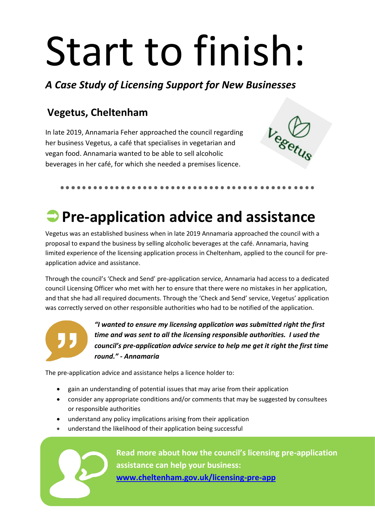# Start to finish:

*A Case Study of Licensing Support for New Businesses*

#### **Vegetus, Cheltenham**

In late 2019, Annamaria Feher approached the council regarding her business Vegetus, a café that specialises in vegetarian and vegan food. Annamaria wanted to be able to sell alcoholic beverages in her café, for which she needed a premises licence.



## **Pre-application advice and assistance**

Vegetus was an established business when in late 2019 Annamaria approached the council with a proposal to expand the business by selling alcoholic beverages at the café. Annamaria, having limited experience of the licensing application process in Cheltenham, applied to the council for preapplication advice and assistance.

Through the council's 'Check and Send' pre-application service, Annamaria had access to a dedicated council Licensing Officer who met with her to ensure that there were no mistakes in her application, and that she had all required documents. Through the 'Check and Send' service, Vegetus' application was correctly served on other responsible authorities who had to be notified of the application.



*"I wanted to ensure my licensing application was submitted right the first time and was sent to all the licensing responsible authorities. I used the council's pre-application advice service to help me get it right the first time round." - Annamaria*

The pre-application advice and assistance helps a licence holder to:

- gain an understanding of potential issues that may arise from their application
- consider any appropriate conditions and/or comments that may be suggested by consultees or responsible authorities
- understand any policy implications arising from their application
- understand the likelihood of their application being successful



**Read more about how the council's licensing pre-application assistance can help your business: [www.cheltenham.gov.uk/licensing-pre-app](http://www.cheltenham.gov.uk/licensing-pre-app)**